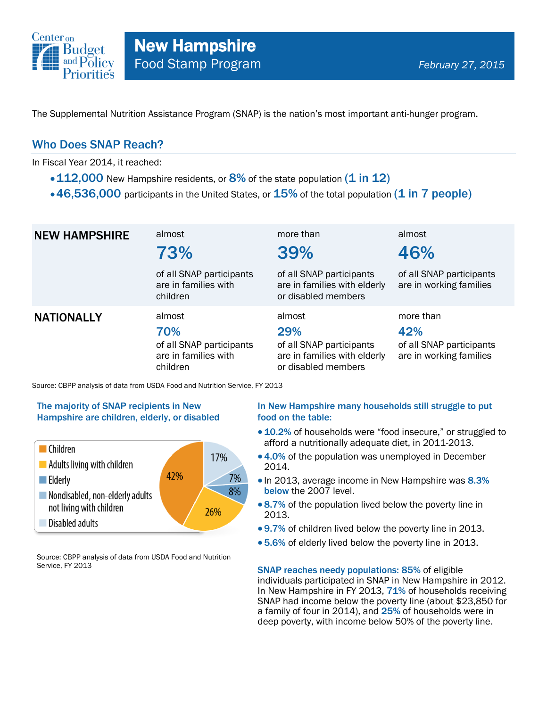

The Supplemental Nutrition Assistance Program (SNAP) is the nation's most important anti-hunger program.

### Who Does SNAP Reach?

In Fiscal Year 2014, it reached:

- $\cdot$  112,000 New Hampshire residents, or 8% of the state population (1 in 12)
- $\cdot$  46,536,000 participants in the United States, or  $15\%$  of the total population (1 in 7 people)

| <b>NEW HAMPSHIRE</b> | almost<br>73%                                                                 | more than<br>39%                                                                                 | almost<br>46%                                                           |
|----------------------|-------------------------------------------------------------------------------|--------------------------------------------------------------------------------------------------|-------------------------------------------------------------------------|
|                      | of all SNAP participants<br>are in families with<br>children                  | of all SNAP participants<br>are in families with elderly<br>or disabled members                  | of all SNAP participants<br>are in working families                     |
| <b>NATIONALLY</b>    | almost<br>70%<br>of all SNAP participants<br>are in families with<br>children | almost<br>29%<br>of all SNAP participants<br>are in families with elderly<br>or disabled members | more than<br>42%<br>of all SNAP participants<br>are in working families |

Source: CBPP analysis of data from USDA Food and Nutrition Service, FY 2013

#### The majority of SNAP recipients in New Hampshire are children, elderly, or disabled



Source: CBPP analysis of data from USDA Food and Nutrition Service, FY 2013

#### In New Hampshire many households still struggle to put food on the table:

- 10.2% of households were "food insecure," or struggled to afford a nutritionally adequate diet, in 2011-2013.
- 4.0% of the population was unemployed in December 2014.
- In 2013, average income in New Hampshire was 8.3% below the 2007 level.
- 8.7% of the population lived below the poverty line in 2013.
- 9.7% of children lived below the poverty line in 2013.
- 5.6% of elderly lived below the poverty line in 2013.

SNAP reaches needy populations: 85% of eligible individuals participated in SNAP in New Hampshire in 2012. In New Hampshire in FY 2013, 71% of households receiving SNAP had income below the poverty line (about \$23,850 for a family of four in 2014), and 25% of households were in deep poverty, with income below 50% of the poverty line.